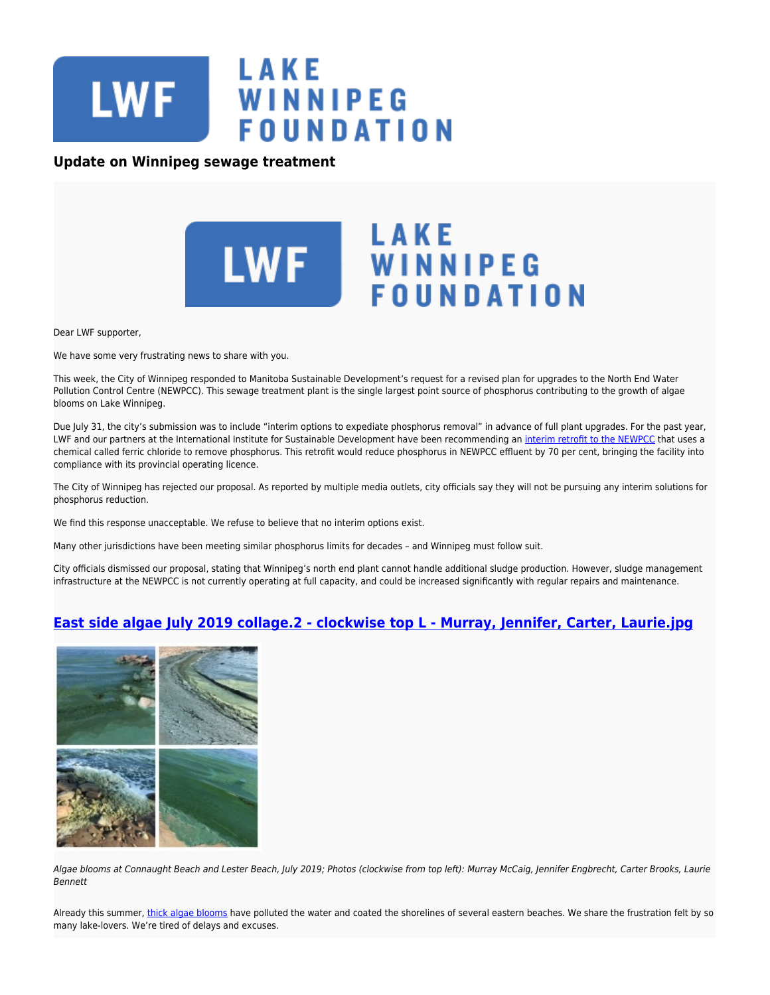

## **Update on Winnipeg sewage treatment**



Dear LWF supporter,

We have some very frustrating news to share with you.

This week, the City of Winnipeg responded to Manitoba Sustainable Development's request for a revised plan for upgrades to the North End Water Pollution Control Centre (NEWPCC). This sewage treatment plant is the single largest point source of phosphorus contributing to the growth of algae blooms on Lake Winnipeg.

Due July 31, the city's submission was to include "interim options to expediate phosphorus removal" in advance of full plant upgrades. For the past year, LWF and our partners at the International Institute for Sustainable Development have been recommending an [interim retrofit to the NEWPCC](https://www.lakewinnipegfoundation.org/news/report-interim-retrofit-winnipeg%E2%80%99-north-sewage-treatment-plant-protect) that uses a chemical called ferric chloride to remove phosphorus. This retrofit would reduce phosphorus in NEWPCC effluent by 70 per cent, bringing the facility into compliance with its provincial operating licence.

The City of Winnipeg has rejected our proposal. As reported by multiple media outlets, city officials say they will not be pursuing any interim solutions for phosphorus reduction.

We find this response unacceptable. We refuse to believe that no interim options exist.

Many other jurisdictions have been meeting similar phosphorus limits for decades – and Winnipeg must follow suit.

City officials dismissed our proposal, stating that Winnipeg's north end plant cannot handle additional sludge production. However, sludge management infrastructure at the NEWPCC is not currently operating at full capacity, and could be increased significantly with regular repairs and maintenance.

## **[East side algae July 2019 collage.2 - clockwise top L - Murray, Jennifer, Carter, Laurie.jpg](https://lakewinnipegfoundation.org/file/east-side-algae-july-2019-collage2-clockwise-top-murray-jennifer)**



Algae blooms at Connaught Beach and Lester Beach, July 2019; Photos (clockwise from top left): Murray McCaig, Jennifer Engbrecht, Carter Brooks, Laurie Bennett

Already this summer, [thick algae blooms](https://www.winnipegfreepress.com/multimedia/fp-slideshow/summer-bummer-algae-blooms-haunt-lake-winnipeg-shores-513518282.html) have polluted the water and coated the shorelines of several eastern beaches. We share the frustration felt by so many lake-lovers. We're tired of delays and excuses.